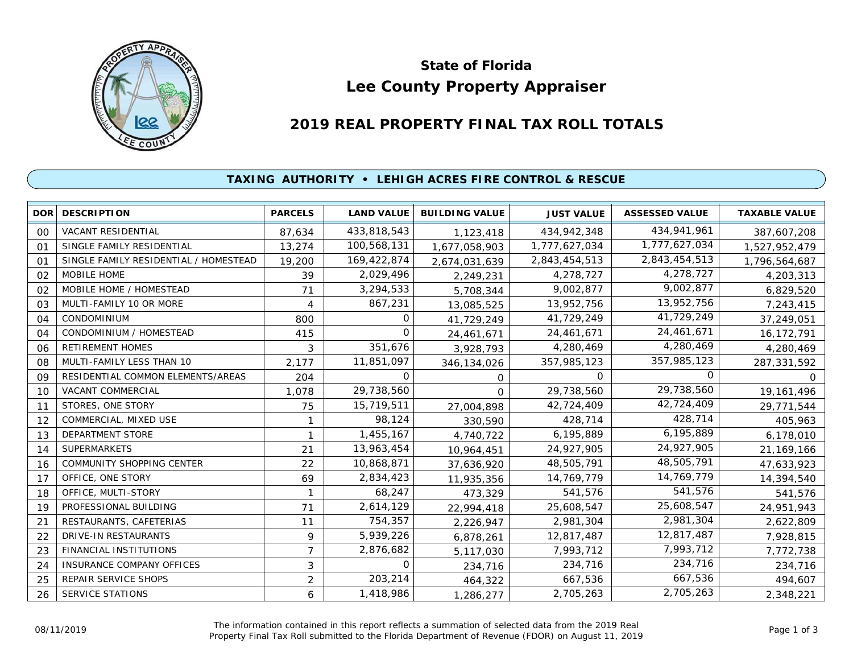

# **Lee County Property Appraiser State of Florida**

# **2019 REAL PROPERTY FINAL TAX ROLL TOTALS**

## **TAXING AUTHORITY • LEHIGH ACRES FIRE CONTROL & RESCUE**

| DOR            | <b>DESCRIPTION</b>                    | <b>PARCELS</b> | <b>LAND VALUE</b> | <b>BUILDING VALUE</b> | <b>JUST VALUE</b> | <b>ASSESSED VALUE</b> | <b>TAXABLE VALUE</b> |
|----------------|---------------------------------------|----------------|-------------------|-----------------------|-------------------|-----------------------|----------------------|
| 00             | VACANT RESIDENTIAL                    | 87,634         | 433,818,543       | 1,123,418             | 434,942,348       | 434,941,961           | 387,607,208          |
| 01             | SINGLE FAMILY RESIDENTIAL             | 13,274         | 100,568,131       | 1,677,058,903         | 1,777,627,034     | 1,777,627,034         | 1,527,952,479        |
| O <sub>1</sub> | SINGLE FAMILY RESIDENTIAL / HOMESTEAD | 19,200         | 169,422,874       | 2,674,031,639         | 2,843,454,513     | 2,843,454,513         | 1,796,564,687        |
| 02             | MOBILE HOME                           | 39             | 2,029,496         | 2,249,231             | 4,278,727         | 4,278,727             | 4,203,313            |
| 02             | MOBILE HOME / HOMESTEAD               | 71             | 3,294,533         | 5,708,344             | 9,002,877         | 9,002,877             | 6,829,520            |
| 03             | MULTI-FAMILY 10 OR MORE               | 4              | 867,231           | 13,085,525            | 13,952,756        | 13,952,756            | 7,243,415            |
| 04             | <b>CONDOMINIUM</b>                    | 800            | 0                 | 41,729,249            | 41,729,249        | 41,729,249            | 37,249,051           |
| 04             | CONDOMINIUM / HOMESTEAD               | 415            | 0                 | 24,461,671            | 24,461,671        | 24,461,671            | 16,172,791           |
| 06             | <b>RETIREMENT HOMES</b>               | 3              | 351,676           | 3,928,793             | 4,280,469         | 4,280,469             | 4,280,469            |
| 08             | MULTI-FAMILY LESS THAN 10             | 2,177          | 11,851,097        | 346,134,026           | 357,985,123       | 357,985,123           | 287,331,592          |
| 09             | RESIDENTIAL COMMON ELEMENTS/AREAS     | 204            | 0                 | 0                     | $\Omega$          | $\Omega$              | $\Omega$             |
| 10             | VACANT COMMERCIAL                     | 1,078          | 29,738,560        | $\Omega$              | 29,738,560        | 29,738,560            | 19,161,496           |
| 11             | STORES, ONE STORY                     | 75             | 15,719,511        | 27,004,898            | 42,724,409        | 42,724,409            | 29,771,544           |
| 12             | COMMERCIAL, MIXED USE                 |                | 98,124            | 330,590               | 428,714           | 428,714               | 405,963              |
| 13             | DEPARTMENT STORE                      |                | 1,455,167         | 4,740,722             | 6,195,889         | 6,195,889             | 6,178,010            |
| 14             | <b>SUPERMARKETS</b>                   | 21             | 13,963,454        | 10,964,451            | 24,927,905        | 24,927,905            | 21,169,166           |
| 16             | <b>COMMUNITY SHOPPING CENTER</b>      | 22             | 10,868,871        | 37,636,920            | 48,505,791        | 48,505,791            | 47,633,923           |
| 17             | OFFICE, ONE STORY                     | 69             | 2,834,423         | 11,935,356            | 14,769,779        | 14,769,779            | 14,394,540           |
| 18             | OFFICE, MULTI-STORY                   |                | 68,247            | 473,329               | 541,576           | 541,576               | 541,576              |
| 19             | PROFESSIONAL BUILDING                 | 71             | 2,614,129         | 22,994,418            | 25,608,547        | 25,608,547            | 24,951,943           |
| 21             | RESTAURANTS, CAFETERIAS               | 11             | 754,357           | 2,226,947             | 2,981,304         | 2,981,304             | 2,622,809            |
| 22             | <b>DRIVE-IN RESTAURANTS</b>           | 9              | 5,939,226         | 6,878,261             | 12,817,487        | 12,817,487            | 7,928,815            |
| 23             | FINANCIAL INSTITUTIONS                | $\overline{7}$ | 2,876,682         | 5,117,030             | 7,993,712         | 7,993,712             | 7,772,738            |
| 24             | <b>INSURANCE COMPANY OFFICES</b>      | 3              | 0                 | 234,716               | 234,716           | 234,716               | 234,716              |
| 25             | REPAIR SERVICE SHOPS                  | 2              | 203,214           | 464,322               | 667,536           | 667,536               | 494,607              |
| 26             | <b>SERVICE STATIONS</b>               | 6              | 1,418,986         | 1,286,277             | 2,705,263         | 2,705,263             | 2,348,221            |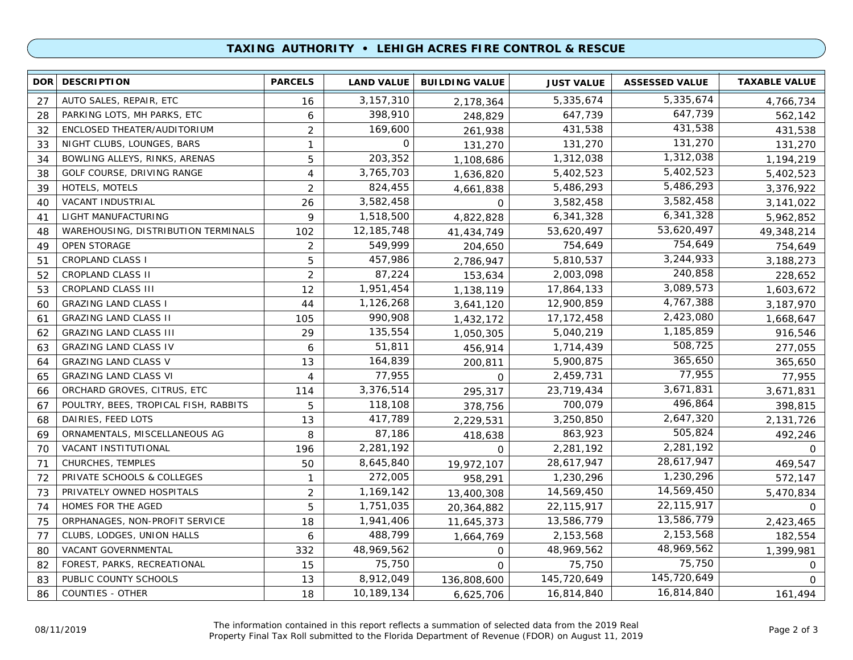### **TAXING AUTHORITY • LEHIGH ACRES FIRE CONTROL & RESCUE**

| <b>DOR</b> | <b>DESCRIPTION</b>                    | <b>PARCELS</b> | <b>LAND VALUE</b> | <b>BUILDING VALUE</b> | <b>JUST VALUE</b> | <b>ASSESSED VALUE</b> | <b>TAXABLE VALUE</b> |
|------------|---------------------------------------|----------------|-------------------|-----------------------|-------------------|-----------------------|----------------------|
| 27         | AUTO SALES, REPAIR, ETC               | 16             | 3, 157, 310       | 2,178,364             | 5,335,674         | 5,335,674             | 4,766,734            |
| 28         | PARKING LOTS, MH PARKS, ETC           | 6              | 398,910           | 248,829               | 647,739           | 647,739               | 562,142              |
| 32         | ENCLOSED THEATER/AUDITORIUM           | $\overline{2}$ | 169,600           | 261,938               | 431,538           | 431,538               | 431,538              |
| 33         | NIGHT CLUBS, LOUNGES, BARS            | $\mathbf{1}$   | $\Omega$          | 131,270               | 131,270           | 131,270               | 131,270              |
| 34         | BOWLING ALLEYS, RINKS, ARENAS         | 5              | 203,352           | 1,108,686             | 1,312,038         | 1,312,038             | 1,194,219            |
| 38         | GOLF COURSE, DRIVING RANGE            | 4              | 3,765,703         | 1,636,820             | 5,402,523         | 5,402,523             | 5,402,523            |
| 39         | <b>HOTELS, MOTELS</b>                 | $\overline{2}$ | 824,455           | 4,661,838             | 5,486,293         | 5,486,293             | 3,376,922            |
| 40         | VACANT INDUSTRIAL                     | 26             | 3,582,458         | $\mathbf 0$           | 3,582,458         | 3,582,458             | 3,141,022            |
| 41         | LIGHT MANUFACTURING                   | 9              | 1,518,500         | 4,822,828             | 6,341,328         | 6,341,328             | 5,962,852            |
| 48         | WAREHOUSING, DISTRIBUTION TERMINALS   | 102            | 12, 185, 748      | 41,434,749            | 53,620,497        | 53,620,497            | 49,348,214           |
| 49         | OPEN STORAGE                          | $\overline{2}$ | 549,999           | 204,650               | 754,649           | 754,649               | 754,649              |
| 51         | <b>CROPLAND CLASS I</b>               | 5              | 457,986           | 2,786,947             | 5,810,537         | 3,244,933             | 3,188,273            |
| 52         | CROPLAND CLASS II                     | $\overline{2}$ | 87,224            | 153,634               | 2,003,098         | 240,858               | 228,652              |
| 53         | CROPLAND CLASS III                    | 12             | 1,951,454         | 1,138,119             | 17,864,133        | 3,089,573             | 1,603,672            |
| 60         | <b>GRAZING LAND CLASS I</b>           | 44             | 1,126,268         | 3,641,120             | 12,900,859        | 4,767,388             | 3,187,970            |
| 61         | <b>GRAZING LAND CLASS II</b>          | 105            | 990,908           | 1,432,172             | 17, 172, 458      | 2,423,080             | 1,668,647            |
| 62         | <b>GRAZING LAND CLASS III</b>         | 29             | 135,554           | 1,050,305             | 5,040,219         | 1,185,859             | 916,546              |
| 63         | <b>GRAZING LAND CLASS IV</b>          | 6              | 51,811            | 456,914               | 1,714,439         | 508,725               | 277,055              |
| 64         | <b>GRAZING LAND CLASS V</b>           | 13             | 164,839           | 200,811               | 5,900,875         | 365,650               | 365,650              |
| 65         | <b>GRAZING LAND CLASS VI</b>          | 4              | 77,955            | $\mathbf 0$           | 2,459,731         | 77,955                | 77,955               |
| 66         | ORCHARD GROVES, CITRUS, ETC           | 114            | 3,376,514         | 295,317               | 23,719,434        | 3,671,831             | 3,671,831            |
| 67         | POULTRY, BEES, TROPICAL FISH, RABBITS | 5              | 118,108           | 378,756               | 700,079           | 496,864               | 398,815              |
| 68         | DAIRIES, FEED LOTS                    | 13             | 417,789           | 2,229,531             | 3,250,850         | 2,647,320             | 2,131,726            |
| 69         | ORNAMENTALS, MISCELLANEOUS AG         | 8              | 87,186            | 418,638               | 863,923           | 505,824               | 492,246              |
| 70         | VACANT INSTITUTIONAL                  | 196            | 2,281,192         | $\Omega$              | 2,281,192         | 2,281,192             | 0                    |
| 71         | CHURCHES, TEMPLES                     | 50             | 8,645,840         | 19,972,107            | 28,617,947        | 28,617,947            | 469,547              |
| 72         | PRIVATE SCHOOLS & COLLEGES            | $\mathbf{1}$   | 272,005           | 958,291               | 1,230,296         | 1,230,296             | 572,147              |
| 73         | PRIVATELY OWNED HOSPITALS             | $\overline{2}$ | 1,169,142         | 13,400,308            | 14,569,450        | 14,569,450            | 5,470,834            |
| 74         | HOMES FOR THE AGED                    | 5              | 1,751,035         | 20,364,882            | 22,115,917        | 22,115,917            | $\Omega$             |
| 75         | ORPHANAGES, NON-PROFIT SERVICE        | 18             | 1,941,406         | 11,645,373            | 13,586,779        | 13,586,779            | 2,423,465            |
| 77         | CLUBS, LODGES, UNION HALLS            | 6              | 488,799           | 1,664,769             | 2,153,568         | 2,153,568             | 182,554              |
| 80         | VACANT GOVERNMENTAL                   | 332            | 48,969,562        | $\mathbf 0$           | 48,969,562        | 48,969,562            | 1,399,981            |
| 82         | FOREST, PARKS, RECREATIONAL           | 15             | 75,750            | $\Omega$              | 75,750            | 75,750                | $\circ$              |
| 83         | PUBLIC COUNTY SCHOOLS                 | 13             | 8,912,049         | 136,808,600           | 145,720,649       | 145,720,649           | $\Omega$             |
| 86         | <b>COUNTIES - OTHER</b>               | 18             | 10,189,134        | 6,625,706             | 16,814,840        | 16,814,840            | 161,494              |